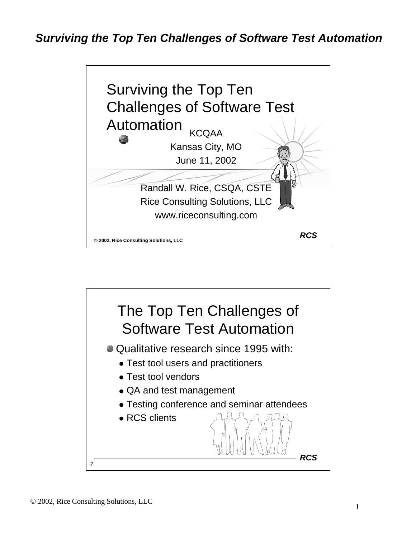

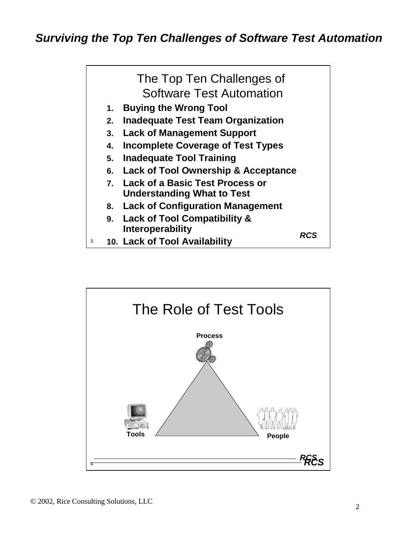

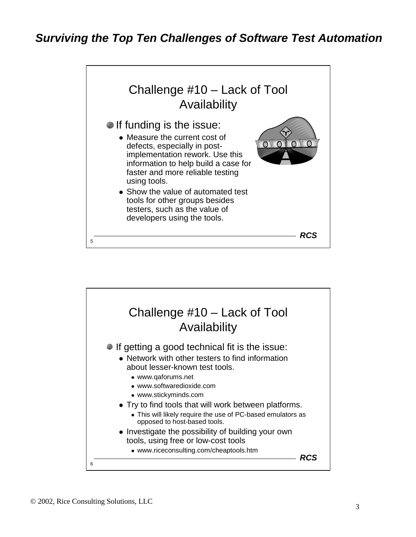

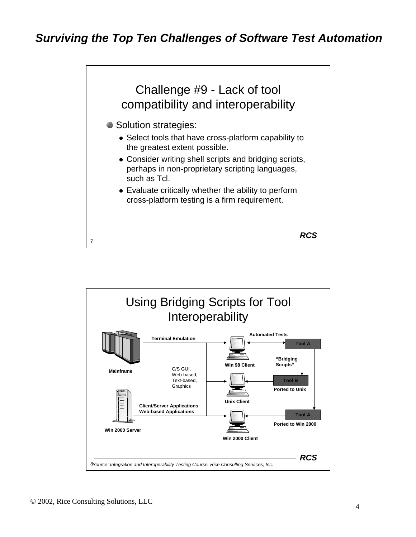

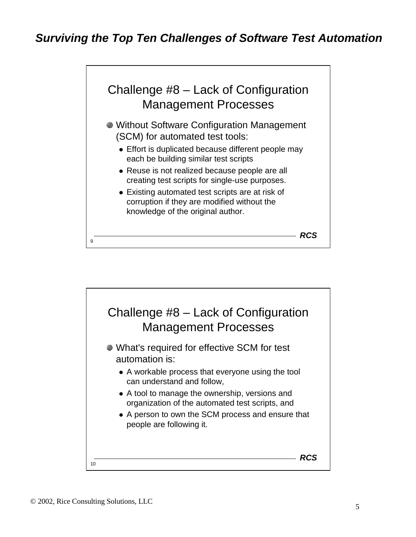

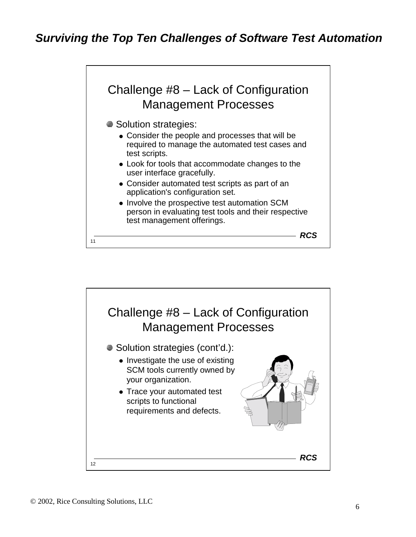

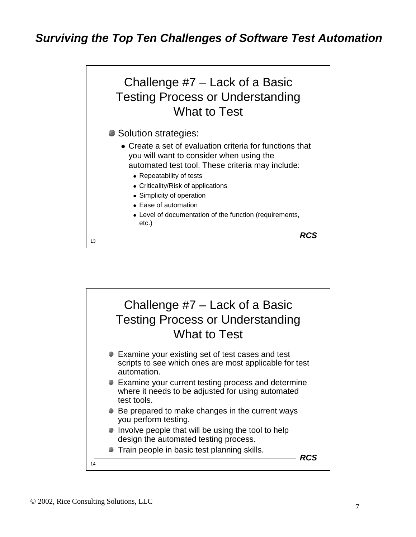

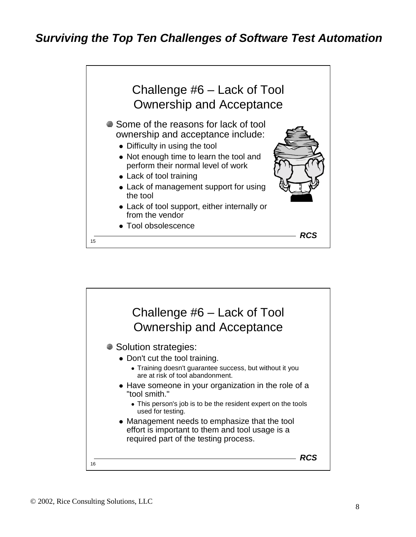

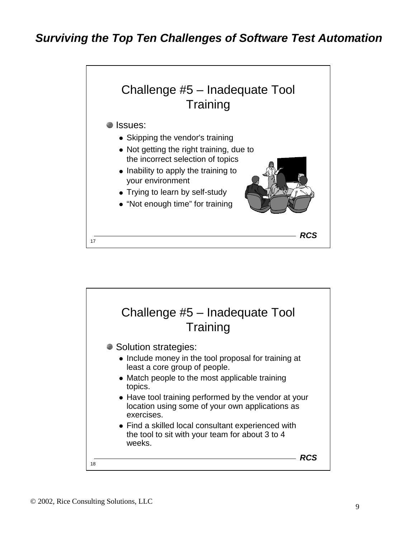

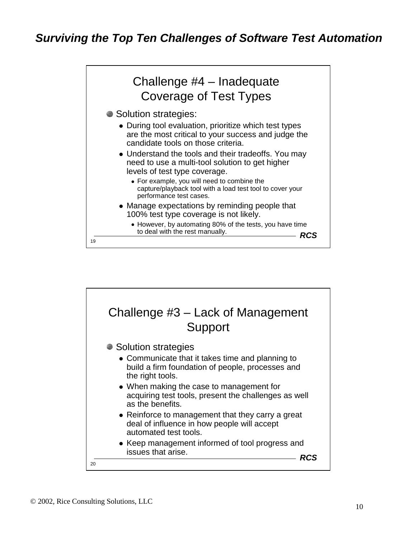

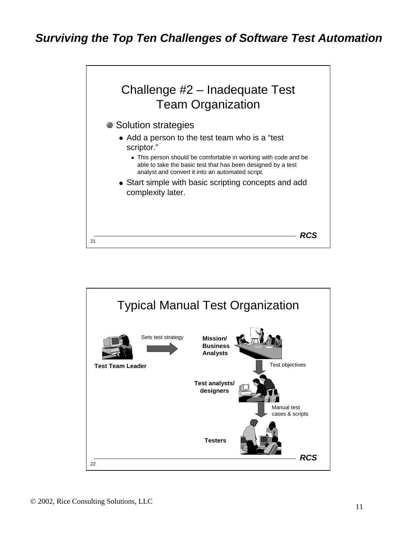

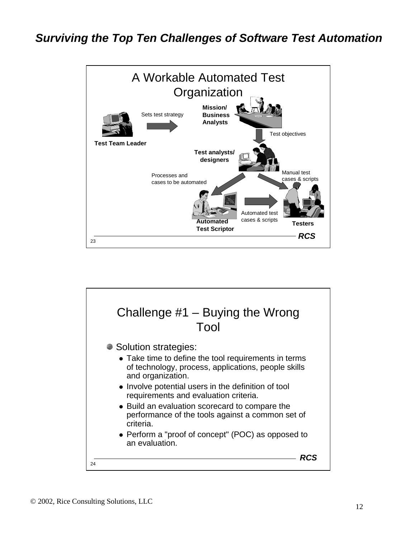

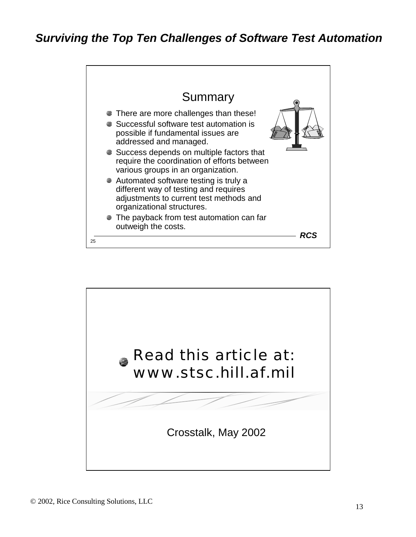